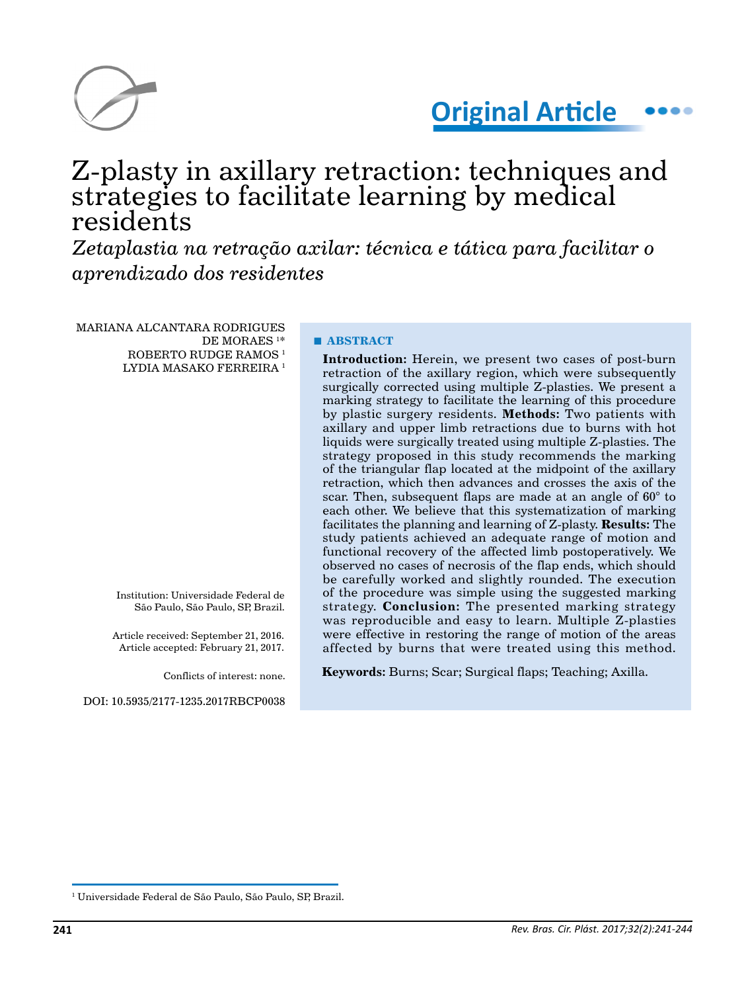



# Z-plasty in axillary retraction: techniques and strategies to facilitate learning by medical residents

*Zetaplastia na retração axilar: técnica e tática para facilitar o aprendizado dos residentes*

MARIANA ALCANTARA RODRIGUES DE MORAES 1 \* ROBERTO RUDGE RAMOS<sup>1</sup> LYDIA MASAKO FERREIRA 1

> Institution: Universidade Federal de São Paulo, São Paulo, SP, Brazil.

Article received: September 21, 2016. Article accepted: February 21, 2017.

Conflicts of interest: none.

DOI: 10.5935/2177-1235.2017RBCP0038

## **■ ABSTRACT**

**Introduction:** Herein, we present two cases of post-burn retraction of the axillary region, which were subsequently surgically corrected using multiple Z-plasties. We present a marking strategy to facilitate the learning of this procedure by plastic surgery residents. **Methods:** Two patients with axillary and upper limb retractions due to burns with hot liquids were surgically treated using multiple Z-plasties. The strategy proposed in this study recommends the marking of the triangular flap located at the midpoint of the axillary retraction, which then advances and crosses the axis of the scar. Then, subsequent flaps are made at an angle of 60° to each other. We believe that this systematization of marking facilitates the planning and learning of Z-plasty. **Results:** The study patients achieved an adequate range of motion and functional recovery of the affected limb postoperatively. We observed no cases of necrosis of the flap ends, which should be carefully worked and slightly rounded. The execution of the procedure was simple using the suggested marking strategy. **Conclusion:** The presented marking strategy was reproducible and easy to learn. Multiple Z-plasties were effective in restoring the range of motion of the areas affected by burns that were treated using this method.

**Keywords:** Burns; Scar; Surgical flaps; Teaching; Axilla.

<sup>1</sup> Universidade Federal de São Paulo, São Paulo, SP, Brazil.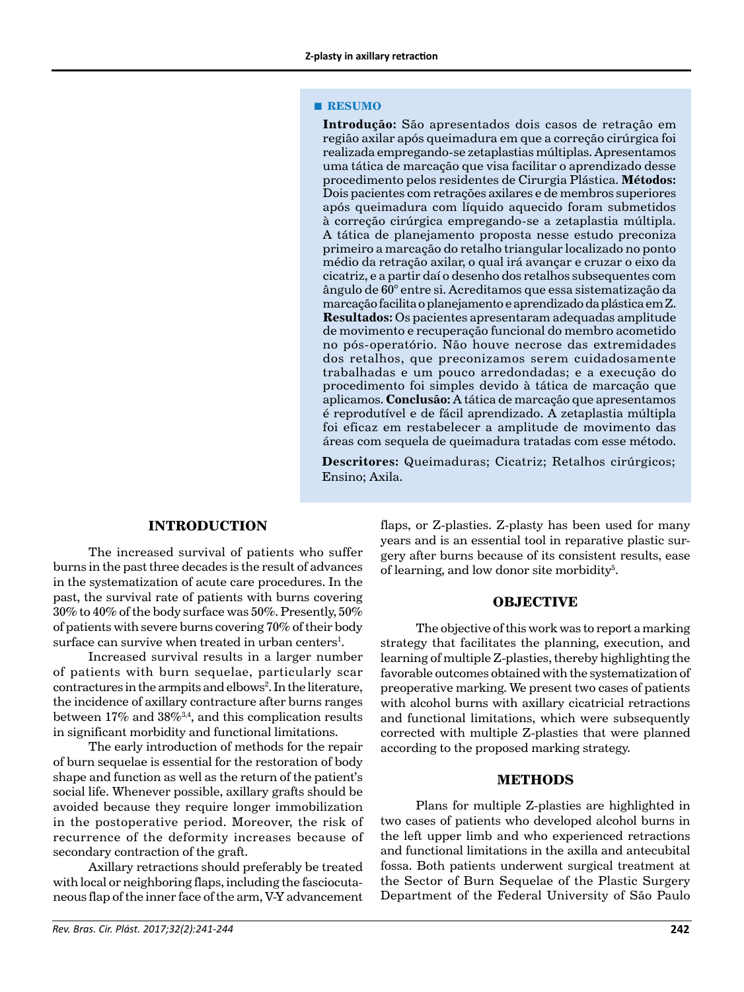#### **■ RESUMO**

**Introdução:** São apresentados dois casos de retração em região axilar após queimadura em que a correção cirúrgica foi realizada empregando-se zetaplastias múltiplas. Apresentamos uma tática de marcação que visa facilitar o aprendizado desse procedimento pelos residentes de Cirurgia Plástica. **Métodos:**  Dois pacientes com retrações axilares e de membros superiores após queimadura com líquido aquecido foram submetidos à correção cirúrgica empregando-se a zetaplastia múltipla. A tática de planejamento proposta nesse estudo preconiza primeiro a marcação do retalho triangular localizado no ponto médio da retração axilar, o qual irá avançar e cruzar o eixo da cicatriz, e a partir daí o desenho dos retalhos subsequentes com ângulo de 60° entre si. Acreditamos que essa sistematização da marcação facilita o planejamento e aprendizado da plástica em Z. **Resultados:** Os pacientes apresentaram adequadas amplitude de movimento e recuperação funcional do membro acometido no pós-operatório. Não houve necrose das extremidades dos retalhos, que preconizamos serem cuidadosamente trabalhadas e um pouco arredondadas; e a execução do procedimento foi simples devido à tática de marcação que aplicamos. **Conclusão:** A tática de marcação que apresentamos é reprodutível e de fácil aprendizado. A zetaplastia múltipla foi eficaz em restabelecer a amplitude de movimento das áreas com sequela de queimadura tratadas com esse método.

**Descritores:** Queimaduras; Cicatriz; Retalhos cirúrgicos; Ensino; Axila.

#### **INTRODUCTION**

The increased survival of patients who suffer burns in the past three decades is the result of advances in the systematization of acute care procedures. In the past, the survival rate of patients with burns covering 30% to 40% of the body surface was 50%. Presently, 50% of patients with severe burns covering 70% of their body surface can survive when treated in urban centers $^{\rm l}$ .

Increased survival results in a larger number of patients with burn sequelae, particularly scar contractures in the armpits and elbows<sup>2</sup>. In the literature, the incidence of axillary contracture after burns ranges between  $17\%$  and  $38\%$ <sup>3,4</sup>, and this complication results in significant morbidity and functional limitations.

The early introduction of methods for the repair of burn sequelae is essential for the restoration of body shape and function as well as the return of the patient's social life. Whenever possible, axillary grafts should be avoided because they require longer immobilization in the postoperative period. Moreover, the risk of recurrence of the deformity increases because of secondary contraction of the graft.

Axillary retractions should preferably be treated with local or neighboring flaps, including the fasciocutaneous flap of the inner face of the arm, V-Y advancement

flaps, or Z-plasties. Z-plasty has been used for many years and is an essential tool in reparative plastic surgery after burns because of its consistent results, ease of learning, and low donor site morbidity<sup>5</sup>.

## **OBJECTIVE**

The objective of this work was to report a marking strategy that facilitates the planning, execution, and learning of multiple Z-plasties, thereby highlighting the favorable outcomes obtained with the systematization of preoperative marking. We present two cases of patients with alcohol burns with axillary cicatricial retractions and functional limitations, which were subsequently corrected with multiple Z-plasties that were planned according to the proposed marking strategy.

#### **METHODS**

Plans for multiple Z-plasties are highlighted in two cases of patients who developed alcohol burns in the left upper limb and who experienced retractions and functional limitations in the axilla and antecubital fossa. Both patients underwent surgical treatment at the Sector of Burn Sequelae of the Plastic Surgery Department of the Federal University of São Paulo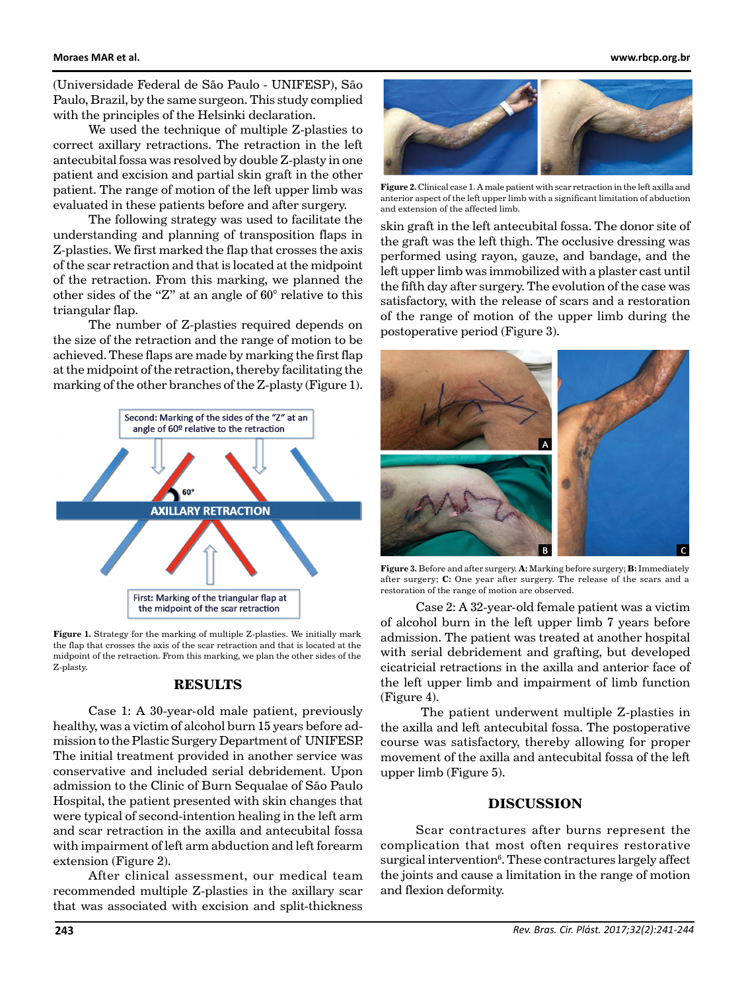(Universidade Federal de São Paulo - UNIFESP), São Paulo, Brazil, by the same surgeon. This study complied with the principles of the Helsinki declaration.

We used the technique of multiple Z-plasties to correct axillary retractions. The retraction in the left antecubital fossa was resolved by double Z-plasty in one patient and excision and partial skin graft in the other patient. The range of motion of the left upper limb was evaluated in these patients before and after surgery.

The following strategy was used to facilitate the understanding and planning of transposition flaps in Z-plasties. We first marked the flap that crosses the axis of the scar retraction and that is located at the midpoint of the retraction. From this marking, we planned the other sides of the "Z" at an angle of 60° relative to this triangular flap.

The number of Z-plasties required depends on the size of the retraction and the range of motion to be achieved. These flaps are made by marking the first flap at the midpoint of the retraction, thereby facilitating the marking of the other branches of the Z-plasty (Figure 1).



**Figure 1.** Strategy for the marking of multiple Z-plasties. We initially mark the flap that crosses the axis of the scar retraction and that is located at the midpoint of the retraction. From this marking, we plan the other sides of the Z-plasty.

# **RESULTS**

Case 1: A 30-year-old male patient, previously healthy, was a victim of alcohol burn 15 years before admission to the Plastic Surgery Department of UNIFESP. The initial treatment provided in another service was conservative and included serial debridement. Upon admission to the Clinic of Burn Sequalae of São Paulo Hospital, the patient presented with skin changes that were typical of second-intention healing in the left arm and scar retraction in the axilla and antecubital fossa with impairment of left arm abduction and left forearm extension (Figure 2).

After clinical assessment, our medical team recommended multiple Z-plasties in the axillary scar that was associated with excision and split-thickness



**Figure 2.** Clinical case 1. A male patient with scar retraction in the left axilla and anterior aspect of the left upper limb with a significant limitation of abduction and extension of the affected limb.

skin graft in the left antecubital fossa. The donor site of the graft was the left thigh. The occlusive dressing was performed using rayon, gauze, and bandage, and the left upper limb was immobilized with a plaster cast until the fifth day after surgery. The evolution of the case was satisfactory, with the release of scars and a restoration of the range of motion of the upper limb during the postoperative period (Figure 3).



**Figure 3.** Before and after surgery. **A:** Marking before surgery; **B:** Immediately after surgery; **C:** One year after surgery. The release of the scars and a restoration of the range of motion are observed.

Case 2: A 32-year-old female patient was a victim of alcohol burn in the left upper limb 7 years before admission. The patient was treated at another hospital with serial debridement and grafting, but developed cicatricial retractions in the axilla and anterior face of the left upper limb and impairment of limb function (Figure 4).

 The patient underwent multiple Z-plasties in the axilla and left antecubital fossa. The postoperative course was satisfactory, thereby allowing for proper movement of the axilla and antecubital fossa of the left upper limb (Figure 5).

## **DISCUSSION**

Scar contractures after burns represent the complication that most often requires restorative surgical intervention<sup>6</sup>. These contractures largely affect the joints and cause a limitation in the range of motion and flexion deformity.